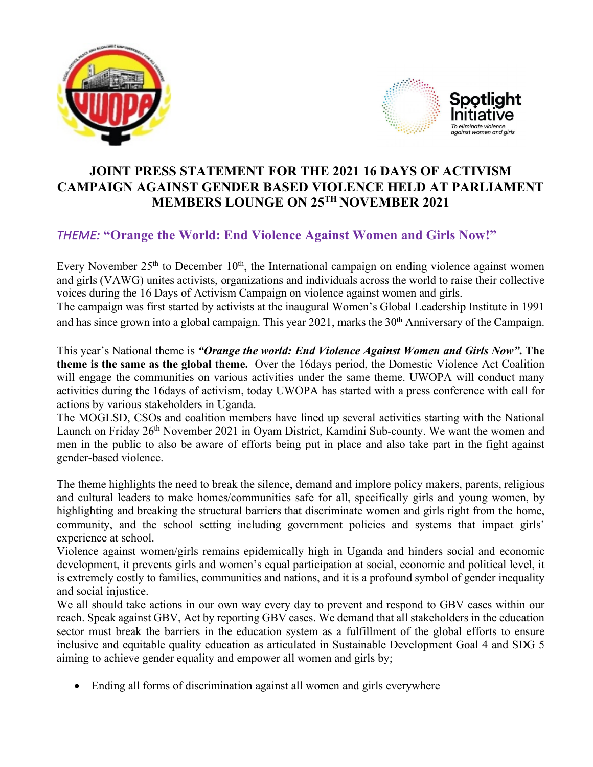



## **JOINT PRESS STATEMENT FOR THE 2021 16 DAYS OF ACTIVISM CAMPAIGN AGAINST GENDER BASED VIOLENCE HELD AT PARLIAMENT MEMBERS LOUNGE ON 25TH NOVEMBER 2021**

## *THEME:* **"Orange the World: End Violence Against Women and Girls Now!"**

Every November  $25<sup>th</sup>$  to December  $10<sup>th</sup>$ , the International campaign on ending violence against women and girls (VAWG) unites activists, organizations and individuals across the world to raise their collective voices during the 16 Days of Activism Campaign on violence against women and girls. The campaign was first started by activists at the inaugural Women's Global Leadership Institute in 1991 and has since grown into a global campaign. This year 2021, marks the 30<sup>th</sup> Anniversary of the Campaign.

This year's National theme is *"Orange the world: End Violence Against Women and Girls Now"***. The theme is the same as the global theme.** Over the 16days period, the Domestic Violence Act Coalition will engage the communities on various activities under the same theme. UWOPA will conduct many activities during the 16days of activism, today UWOPA has started with a press conference with call for actions by various stakeholders in Uganda.

The MOGLSD, CSOs and coalition members have lined up several activities starting with the National Launch on Friday 26<sup>th</sup> November 2021 in Oyam District, Kamdini Sub-county. We want the women and men in the public to also be aware of efforts being put in place and also take part in the fight against gender-based violence.

The theme highlights the need to break the silence, demand and implore policy makers, parents, religious and cultural leaders to make homes/communities safe for all, specifically girls and young women, by highlighting and breaking the structural barriers that discriminate women and girls right from the home, community, and the school setting including government policies and systems that impact girls' experience at school.

Violence against women/girls remains epidemically high in Uganda and hinders social and economic development, it prevents girls and women's equal participation at social, economic and political level, it is extremely costly to families, communities and nations, and it is a profound symbol of gender inequality and social injustice.

We all should take actions in our own way every day to prevent and respond to GBV cases within our reach. Speak against GBV, Act by reporting GBV cases. We demand that all stakeholders in the education sector must break the barriers in the education system as a fulfillment of the global efforts to ensure inclusive and equitable quality education as articulated in Sustainable Development Goal 4 and SDG 5 aiming to achieve gender equality and empower all women and girls by;

• Ending all forms of discrimination against all women and girls everywhere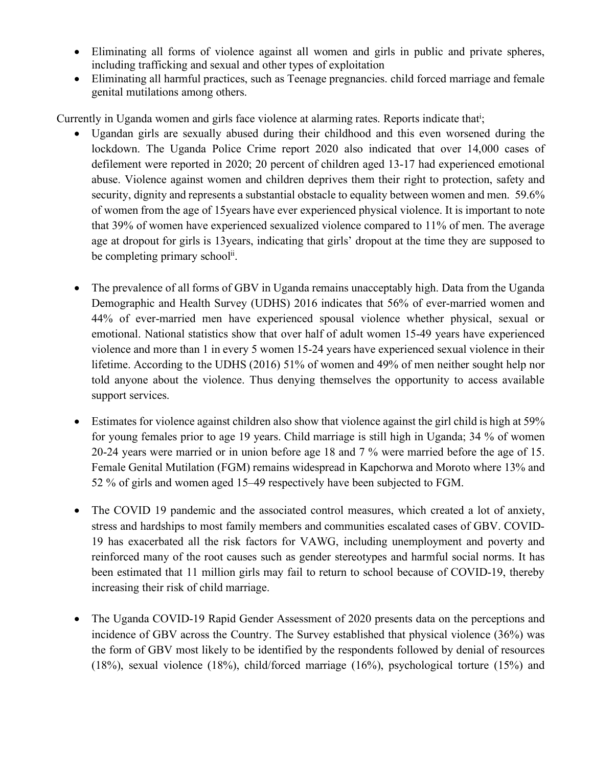- Eliminating all forms of violence against all women and girls in public and private spheres, including trafficking and sexual and other types of exploitation
- Eliminating all harmful practices, such as Teenage pregnancies. child forced marriage and female genital mutilations among others.

Currently in Uganda women and girls face violence at alarming rates. Reports indicate that<sup>i</sup>;

- Ugandan girls are sexually abused during their childhood and this even worsened during the lockdown. The Uganda Police Crime report 2020 also indicated that over 14,000 cases of defilement were reported in 2020; 20 percent of children aged 13-17 had experienced emotional abuse. Violence against women and children deprives them their right to protection, safety and security, dignity and represents a substantial obstacle to equality between women and men. 59.6% of women from the age of 15years have ever experienced physical violence. It is important to note that 39% of women have experienced sexualized violence compared to 11% of men. The average age at dropout for girls is 13years, indicating that girls' dropout at the time they are supposed to be completing primary school<sup>ii</sup>.
- The prevalence of all forms of GBV in Uganda remains unacceptably high. Data from the Uganda Demographic and Health Survey (UDHS) 2016 indicates that 56% of ever-married women and 44% of ever-married men have experienced spousal violence whether physical, sexual or emotional. National statistics show that over half of adult women 15-49 years have experienced violence and more than 1 in every 5 women 15-24 years have experienced sexual violence in their lifetime. According to the UDHS (2016) 51% of women and 49% of men neither sought help nor told anyone about the violence. Thus denying themselves the opportunity to access available support services.
- Estimates for violence against children also show that violence against the girl child is high at 59% for young females prior to age 19 years. Child marriage is still high in Uganda; 34 % of women 20-24 years were married or in union before age 18 and 7 % were married before the age of 15. Female Genital Mutilation (FGM) remains widespread in Kapchorwa and Moroto where 13% and 52 % of girls and women aged 15–49 respectively have been subjected to FGM.
- The COVID 19 pandemic and the associated control measures, which created a lot of anxiety, stress and hardships to most family members and communities escalated cases of GBV. COVID-19 has exacerbated all the risk factors for VAWG, including unemployment and poverty and reinforced many of the root causes such as gender stereotypes and harmful social norms. It has been estimated that 11 million girls may fail to return to school because of COVID-19, thereby increasing their risk of child marriage.
- The Uganda COVID-19 Rapid Gender Assessment of 2020 presents data on the perceptions and incidence of GBV across the Country. The Survey established that physical violence (36%) was the form of GBV most likely to be identified by the respondents followed by denial of resources (18%), sexual violence (18%), child/forced marriage (16%), psychological torture (15%) and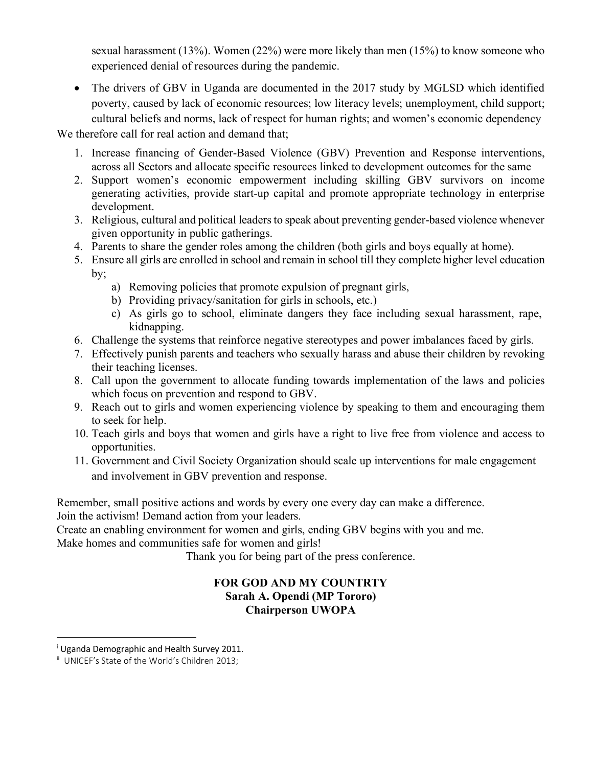sexual harassment (13%). Women (22%) were more likely than men (15%) to know someone who experienced denial of resources during the pandemic.

• The drivers of GBV in Uganda are documented in the 2017 study by MGLSD which identified poverty, caused by lack of economic resources; low literacy levels; unemployment, child support; cultural beliefs and norms, lack of respect for human rights; and women's economic dependency

We therefore call for real action and demand that:

- 1. Increase financing of Gender-Based Violence (GBV) Prevention and Response interventions, across all Sectors and allocate specific resources linked to development outcomes for the same
- 2. Support women's economic empowerment including skilling GBV survivors on income generating activities, provide start-up capital and promote appropriate technology in enterprise development.
- 3. Religious, cultural and political leaders to speak about preventing gender-based violence whenever given opportunity in public gatherings.
- 4. Parents to share the gender roles among the children (both girls and boys equally at home).
- 5. Ensure all girls are enrolled in school and remain in school till they complete higher level education by;
	- a) Removing policies that promote expulsion of pregnant girls,
	- b) Providing privacy/sanitation for girls in schools, etc.)
	- c) As girls go to school, eliminate dangers they face including sexual harassment, rape, kidnapping.
- 6. Challenge the systems that reinforce negative stereotypes and power imbalances faced by girls.
- 7. Effectively punish parents and teachers who sexually harass and abuse their children by revoking their teaching licenses.
- 8. Call upon the government to allocate funding towards implementation of the laws and policies which focus on prevention and respond to GBV.
- 9. Reach out to girls and women experiencing violence by speaking to them and encouraging them to seek for help.
- 10. Teach girls and boys that women and girls have a right to live free from violence and access to opportunities.
- 11. Government and Civil Society Organization should scale up interventions for male engagement and involvement in GBV prevention and response.

Remember, small positive actions and words by every one every day can make a difference. Join the activism! Demand action from your leaders.

Create an enabling environment for women and girls, ending GBV begins with you and me. Make homes and communities safe for women and girls!

Thank you for being part of the press conference.

## **FOR GOD AND MY COUNTRTY Sarah A. Opendi (MP Tororo) Chairperson UWOPA**

 $\overline{a}$ 

<sup>&</sup>lt;sup>i</sup> Uganda Demographic and Health Survey 2011.

ii UNICEF's State of the World's Children 2013;